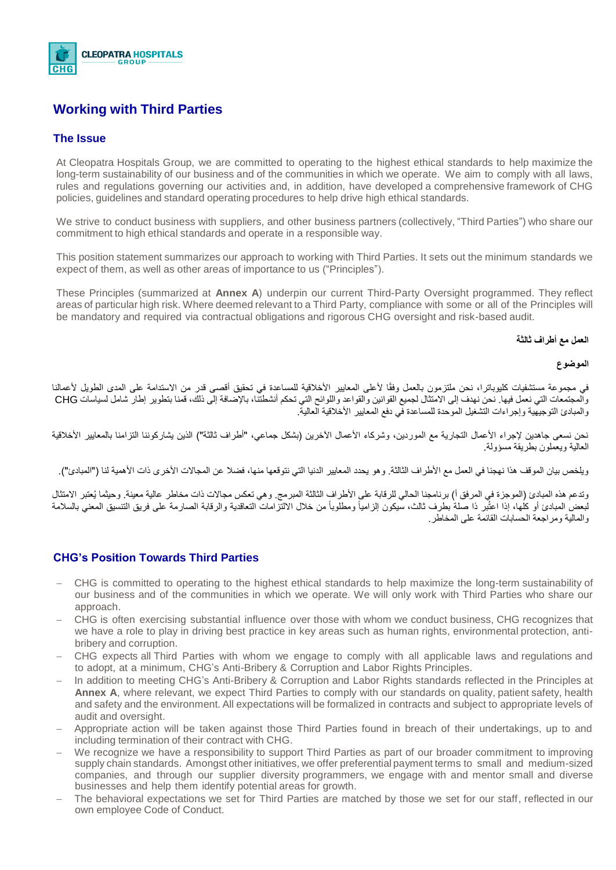

# **Working with Third Parties**

### **The Issue**

At Cleopatra Hospitals Group, we are committed to operating to the highest ethical standards to help maximize the long-term sustainability of our business and of the communities in which we operate. We aim to comply with all laws, rules and regulations governing our activities and, in addition, have developed a comprehensive framework of CHG policies, guidelines and standard operating procedures to help drive high ethical standards.

We strive to conduct business with suppliers, and other business partners (collectively, "Third Parties") who share our commitment to high ethical standards and operate in a responsible way.

This position statement summarizes our approach to working with Third Parties. It sets out the minimum standards we expect of them, as well as other areas of importance to us ("Principles").

These Principles (summarized at **Annex A**) underpin our current Third-Party Oversight programmed. They reflect areas of particular high risk. Where deemed relevant to a Third Party, compliance with some or all of the Principles will be mandatory and required via contractual obligations and rigorous CHG oversight and risk-based audit.

#### **العمل مع أطراف ثالثة**

#### **الموضوع**

في مجموعة مستشفيات كليوباترا، نحن ملتزمون بالعمل وفقًا لأعلى المعايير الأخلاقية للمساعدة في تحقيق أقصى قدر من الاستدامة على المدى الطويل لأعمالنا والمجتمعات التي نعمل فيها. نحن نهدف إلى الامتثال لجميع القوانين والقواعد واللوائح التي تحكم أنشطتنا، بالإضافة إلى ذلك، قمنا بتطوير إطار شامل لسياسات CHG والمبادئ التوجيهية وإجراءات التشغيل الموحدة للمساعدة في دفع المعايير الأخلاقية العالية.

نحن نسعى جاهدين لإجراء الأعمال التجارية مع الموردين، وشركاء الأعمال الأخرين (بشكل جماعي، "أطراف ثالثة") الذين يشاركوننا التزامنا بالمعايير الأخلاقية العالية ويعملون بطريقة مسؤولة.

ويلخص بيان الموقف هذا نهجنا في العمل مع الأطراف الثالثة. وهو يحدد المعايير الدنيا التي نتوقعها منها، فضلا عن المجالات الأخرى ذات الأهمية لنا ("المبادئ").

وتدعم هذه المبادئ (الموجزة في المرفق أ) برنامجنا الحالي للرقابة على الأطراف الثالثة المبرمج. وهي تعكس مجالات ذات مخاطر عالية معينة. وحيثما يُعتبر الامتثال لبعض المبادئ أو كلها، إذا اعتُبر ذا صلةً بطرف ثالث، سيكون إلزامياً ومطلوباً من خلال الالتزامات التعاقدية والرقابة الصارمة على فريق التنسيق المعنى بالسلامة والمالية ومراجعة الحسابات القائمة على المخاطر.

## **CHG's Position Towards Third Parties**

- − CHG is committed to operating to the highest ethical standards to help maximize the long-term sustainability of our business and of the communities in which we operate. We will only work with Third Parties who share our approach.
- − CHG is often exercising substantial influence over those with whom we conduct business, CHG recognizes that we have a role to play in driving best practice in key areas such as human rights, environmental protection, antibribery and corruption.
- − CHG expects all Third Parties with whom we engage to comply with all applicable laws and regulations and to adopt, at a minimum, CHG's Anti-Bribery & Corruption and Labor Rights Principles.
- − In addition to meeting CHG's Anti-Bribery & Corruption and Labor Rights standards reflected in the Principles at **Annex A**, where relevant, we expect Third Parties to comply with our standards on quality, patient safety, health and safety and the environment. All expectations will be formalized in contracts and subject to appropriate levels of audit and oversight.
- − Appropriate action will be taken against those Third Parties found in breach of their undertakings, up to and including termination of their contract with CHG.
- We recognize we have a responsibility to support Third Parties as part of our broader commitment to improving supply chain standards. Amongst other initiatives, we offer preferential payment terms to small and medium-sized companies, and through our supplier diversity programmers, we engage with and mentor small and diverse businesses and help them identify potential areas for growth.
- The behavioral expectations we set for Third Parties are matched by those we set for our staff, reflected in our own employee Code of Conduct.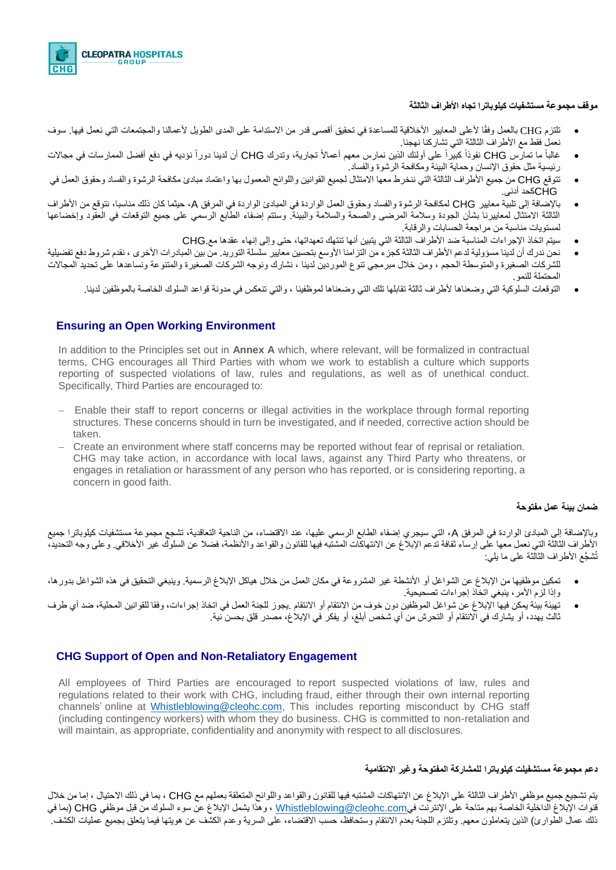

#### **موقف مجموعة مستشفيات كيلوباترا تجاه األطراف الثالثة**

- تلتزم CHG بالعمل وفقًا لأعلى المعايير الأخلاقية للمساعدة في تحقيق أقصى قدر من الاستدامة على المدى الطويل لأعمالنا والمجتمعات التي نعمل فيها. سوف نعمل فقط مع األطراف الثالثة التي تشاركنا نهجنا.
- غالباً ما تمارس CHG نفوذاً كبيراً على أولئك الذين نمارس معهم أعمالاً تجارية، وتدرك CHG أن لدينا دوراً نؤديه في دفع أفضل الممارسات في مجالات رئيسية مثل حقوق اإلنسان وحماية البيئة ومكافحة الرشوة والفساد.
- تتوقع CHG من جميع األطراف الثالثة التي ننخرط معها االمتثال لجميع القوانين واللوائح المعمول بها واعتماد مبادئ مكافحة الرشوة والفساد وحقوق العمل في CHGكحد أدنى.
- باإلضافة إلى تلبية معايير CHG لمكافحة الرشوة والفساد وحقوق العمل الواردة في المبادئ الواردة في المرفق A، حيثما كان ذلك مناسبا، نتوقع من األطراف الثالثة الامتثال لمعابيرنا بشأن الجودة وسلامة المرضى والصحة والسلامة والبيئة. وستتم إضفاء الطابع الرسمي على جميع التوقعات في العقود وإخضاعها لمستويات مناسبة من مراجعة الحسابات والرقابة.
	- سيتم اتخاذ اإلجراءات المناسبة ضد األطراف الثالثة التي يتبين أنها تنتهك تعهداتها، حتى وإلى إنهاء عقدها مع.CHG
- نحن ندرك أن لدينا مسؤولية لدعم األطراف الثالثة كجزء من التزامنا األوسع بتحسين معايير سلسلة التوريد. من بين المبادرات األخرى ، نقدم شروط دفع تفضيلية للشركات الصغيرة والمتوسطة الحجم ، ومن خلال مبرمجي تنوع الموردين لدينا ، نشارك ونوجه الشركات الصغيرة والمتنوعة ونساعدها على تحديد المجالات المحتملة للنمو.
	- التوقعات السلوكية التي وضعناها ألطراف ثالثة تقابلها تلك التي وضعناها لموظفينا ، والتي تنعكس في مدونة قواعد السلوك الخاصة بالموظفين لدينا.

## **Ensuring an Open Working Environment**

In addition to the Principles set out in **Annex A** which, where relevant, will be formalized in contractual terms, CHG encourages all Third Parties with whom we work to establish a culture which supports reporting of suspected violations of law, rules and regulations, as well as of unethical conduct. Specifically, Third Parties are encouraged to:

- − Enable their staff to report concerns or illegal activities in the workplace through formal reporting structures. These concerns should in turn be investigated, and if needed, corrective action should be taken.
- − Create an environment where staff concerns may be reported without fear of reprisal or retaliation. CHG may take action, in accordance with local laws, against any Third Party who threatens, or engages in retaliation or harassment of any person who has reported, or is considering reporting, a concern in good faith.

#### **ضمان بيئة عمل مفتوحة**

وباإلضافة إلى المبادئ الواردة في المرفق A، التي سيجري إضفاء الطابع الرسمي عليها، عند االقتضاء، من الناحية التعاقدية، تشجع مجموعة مستشفيات كيلوباترا جميع الأطراف الثالثة التي نعمل معها على إرساء ثقافة تدعم الإبلاغ عن الانتهاكات المشتبه فيها للقانون والقواعد والأنظمة، فضلا عن السلوك غير الأخلاقي. وعلى وجه التحديد، تُش َّجع األطراف الثالثة على ما يلي:

- تمكين موظفيها من اإلبالغ عن الشواغل أو األنشطة غير المشروعة في مكان العمل من خالل هياكل اإلبالغ الرسمية. وينبغي التحقيق في هذه الشواغل بدورها، وإذا لزم الأمر، ينبغي اتخاذ إجراءات تصحيحية.
- تهيئة بيئة يمكن فيها اإلبالغ عن شواغل الموظفين دون خوف من االنتقام أو االنتقام .يجوز للجنة العمل في اتخاذ إجراءات، وفقا للقوانين المحلية، ضد أي طرف ثالث يهدد، أو يشارك في االنتقام أو التحرش من أي شخص أبلغ، أو يفكر في اإلبالغ، مصدر قلق بحسن نية.

## **CHG Support of Open and Non-Retaliatory Engagement**

All employees of Third Parties are encouraged to report suspected violations of law, rules and regulations related to their work with CHG, including fraud, either through their own internal reporting channels' online at [Whistleblowing@cleohc.com,](mailto:Whistleblowing@cleohc.com) [Th](http://www.gsk.com/speakup)is includes reporting misconduct by CHG staff (including contingency workers) with whom they do business. CHG is committed to non-retaliation and will maintain, as appropriate, confidentiality and anonymity with respect to all disclosures.

#### **دعم مجموعة مستشفيلت كيلوباترا للمشاركة المفتوحة وغير االنتقامية**

يتم تشجيع جميع موظفي األطراف الثالثة على اإلبالغ عن االنتهاكات المشتبه فيها للقانون والقواعد واللوائح المتعلقة بعملهم مع CHG ، بما في ذلك االحتيال ، إما من خالل قنوات الإبلاغ الداخلية الخاصة بهم متاحة على الإنترنت فيWhistleblowing@cleohc.com ، وهذا يشمل الإبلاغ عن سوء السلوك من قبل موظفي CHG (بما في ذلك عمال الطوارئ) الذين يتعاملون معهم. وتلتزم اللجنة بعدم الانتقام وستحافظ، على السرية وعدم الكشف عن هويتها فيما يتعلق بجميع عمليات الكشف.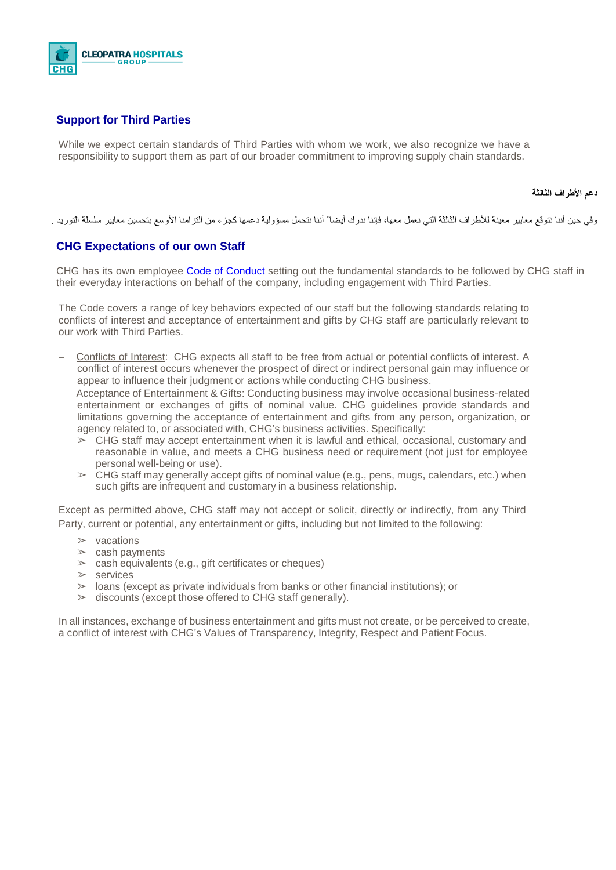

## **Support for Third Parties**

While we expect certain standards of Third Parties with whom we work, we also recognize we have a responsibility to support them as part of our broader commitment to improving supply chain standards.

#### **دعم األطراف الثالثة**

وفي حين أننا نتوقع معايير معينة للأطراف الثالثة التي نعمل معها، فإننا ننتح أننا نتحمل مسؤولية دعمها كجزء من التزامنا الأوسع بتحسين معايير سلسلة التوريد .

## **CHG Expectations of our own Staff**

CHG has its own employee Code of [Conduct](https://www.gsk.com/media/3644/code-of-conduct-2017-english.pdf) setting out the fundamental standards to be followed by CHG staff in their everyday interactions on behalf of the company, including engagement with Third Parties.

The Code covers a range of key behaviors expected of our staff but the following standards relating to conflicts of interest and acceptance of entertainment and gifts by CHG staff are particularly relevant to our work with Third Parties.

- − Conflicts of Interest: CHG expects all staff to be free from actual or potential conflicts of interest. A conflict of interest occurs whenever the prospect of direct or indirect personal gain may influence or appear to influence their judgment or actions while conducting CHG business.
- − Acceptance of Entertainment & Gifts: Conducting business may involve occasional business-related entertainment or exchanges of gifts of nominal value. CHG guidelines provide standards and limitations governing the acceptance of entertainment and gifts from any person, organization, or agency related to, or associated with, CHG's business activities. Specifically:
	- $\geq$  CHG staff may accept entertainment when it is lawful and ethical, occasional, customary and reasonable in value, and meets a CHG business need or requirement (not just for employee personal well-being or use).
	- $\geq$  CHG staff may generally accept gifts of nominal value (e.g., pens, mugs, calendars, etc.) when such gifts are infrequent and customary in a business relationship.

Except as permitted above, CHG staff may not accept or solicit, directly or indirectly, from any Third Party, current or potential, any entertainment or gifts, including but not limited to the following:

- $>$  vacations
- $>$  cash payments
- $\geq$  cash equivalents (e.g., gift certificates or cheques)
- $\triangleright$  services
- $>$  loans (except as private individuals from banks or other financial institutions); or
- $\geq$  discounts (except those offered to CHG staff generally).

In all instances, exchange of business entertainment and gifts must not create, or be perceived to create, a conflict of interest with CHG's Values of Transparency, Integrity, Respect and Patient Focus.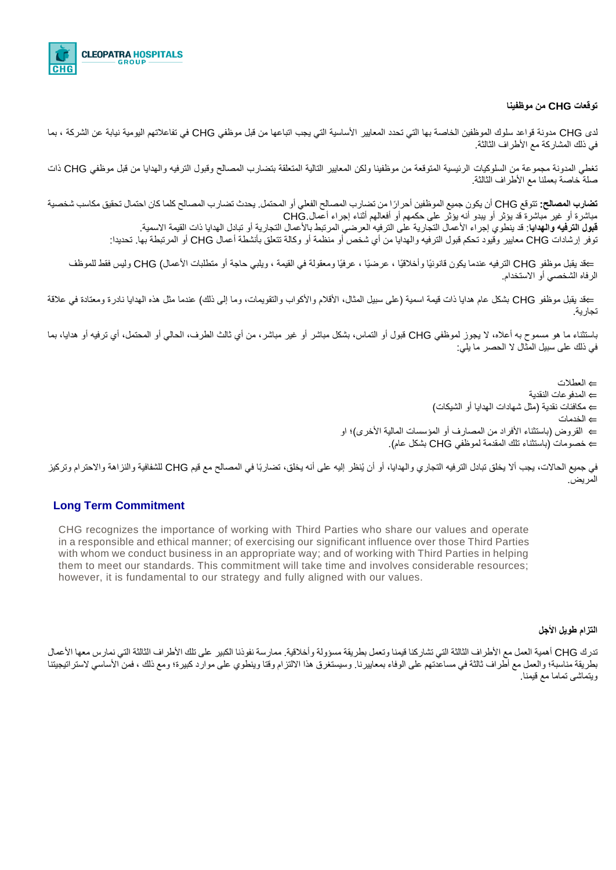

#### **توقعات CHG من موظفينا**

لدى CHG مدونة قواعد سلوك الموظفين الخاصة بها التي تحدد المعايير األساسية التي يجب اتباعها من قبل موظفي CHG في تفاعالتهم اليومية نيابة عن الشركة ، بما في ذلك المشاركة مع األطراف الثالثة.

تغطي المدونة مجموعة من السلوكيات الرئيسية المتوقعة من موظفينا ولكن المعايير التالية المتعلقة بتضارب المصالح وقبول الترفيه والهدايا من قبل موظفي CHG ذات صلة خاصة بعملنا مع األطراف الثالثة.

**تضارب المصالح:** تتوقع CHG أن يكون جميع الموظفين أحرا ًرا من تضارب المصالح الفعلي أو المحتمل. يحدث تضارب المصالح كلما كان احتمال تحقيق مكاسب شخصية مباشرة أو غير مباشرة قد يؤثر أو يبدو أنه يؤثر على حكمهم أو أفعالهم أثناء إجراء أعمال.CHG **قبول الترفيه والهدايا**: قد ينطوي إجراء الأعمال التجارية على الترفيه العرضي المرتبط بالأعمال التجارية أو تبادل الهدايا ذات القيمة الاسمية. توفر إرشادات CHG معايير وقيود تحكم قبول الترفيه والهدايا من أي شخص أو منظمة أو وكالة تتعلق بأنشطة أعمال CHG أو المرتبطة بها. تحديدا:

⇔قد يقبل موظفو CHG الترفيه عندما يكون قانونيًا وأخلاقيًا ، عرضيًا ، عرفيًا ومعقولة في القيمة ، ويلبي حاجة أو متطلبات الأعمال) CHG وليس فقط للموظف الرفاه الشخصي أو االستخدام.

⇔قد يقبل موظفو CHG بشكل عام هدايا ذات قيمة اسمية (على سبيل المثال، الأقلام والأكواب والتقويمات، وما إلى ذلك) عندما مثل هذه الهدايا نادرة ومعتادة في علاقة تجارية.

باستثناء ما هو مسموح به أعاله، ال يجوز لموظفي CHG قبول أو التماس، بشكل مباشر أو غير مباشر، من أي ثالث الطرف، الحالي أو المحتمل، أي ترفيه أو هدايا، بما في ذلك على سبيل المثال ال الحصر ما يلي:

> ⇐ العطالت ⇐ المدفوعات النقدية ⇐ مكافئات نقدية )مثل شهادات الهدايا أو الشيكات( ⇐ الخدمات ے القروض (باستثناء الأفراد من المصارف أو المؤسسات المالية الأخرى)؛ او ⇐ خصومات )باستثناء تلك المقدمة لموظفي CHG بشكل عام(.

في جميع الحاالت، يجب أال يخلق تبادل الترفيه التجاري والهدايا، أو أن يُنظر إليه على أنه يخلق، تضاربًا في المصالح مع قيم CHG للشفافية والنزاهة واالحترام وتركيز المريض.

### **Long Term Commitment**

CHG recognizes the importance of working with Third Parties who share our values and operate in a responsible and ethical manner; of exercising our significant influence over those Third Parties with whom we conduct business in an appropriate way; and of working with Third Parties in helping them to meet our standards. This commitment will take time and involves considerable resources; however, it is fundamental to our strategy and fully aligned with our values.

### **التزام طويل األجل**

تدرك CHG أهمية العمل مع الأطراف الثالثة التي تشاركنا قيمنا وتعمل بطريقة مسؤولة وأخلاقية. ممارسة نفوذنا الكبير على تلك الأطراف الثالثة التي نمارس معها الأعمال بطريقة مناسبة؛ والعمل مع أطراف ثالثة في مساعدتهم على الوفاء بمعاييرنا. وسيستغرق هذا الالتزام وقتا وينطوي على موارد كبيرة؛ ومع ذلك ، فمن الأساسي لاستراتيجيتنا ويتماشى تماما مع قيمنا.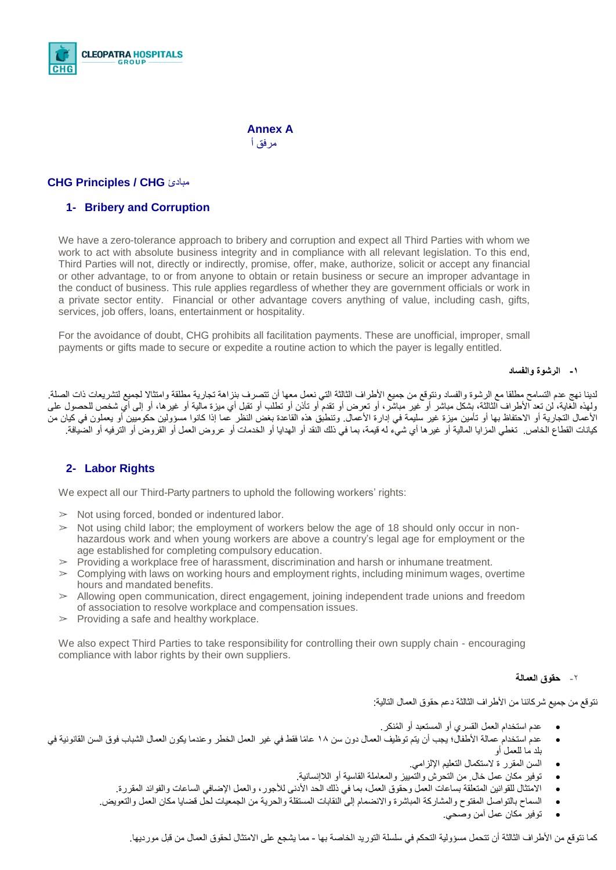

 **Annex A** مرفق أ

## **CHG Principles / CHG** مبادئ

## **1- Bribery and Corruption**

We have a zero-tolerance approach to bribery and corruption and expect all Third Parties with whom we work to act with absolute business integrity and in compliance with all relevant legislation. To this end, Third Parties will not, directly or indirectly, promise, offer, make, authorize, solicit or accept any financial or other advantage, to or from anyone to obtain or retain business or secure an improper advantage in the conduct of business. This rule applies regardless of whether they are government officials or work in a private sector entity. Financial or other advantage covers anything of value, including cash, gifts, services, job offers, loans, entertainment or hospitality.

For the avoidance of doubt, CHG prohibits all facilitation payments. These are unofficial, improper, small payments or gifts made to secure or expedite a routine action to which the payer is legally entitled.

#### **-1 الرشوة والفساد**

لدينا نهج عدم التسامح مطلقا مع الرشوة والفساد ونتوقع من جميع الأطراف الثالثة التي نعمل معها أن تتصرف بنزاهة تجارية مطلقة وامتثالا لجميع لتشريعات ذات الصلة. ولهذه الّغاية، لن تعد الأطراف الثالثة، بشكل مباشر أو تخير مباشرً، أو تقدم أو تأذن أو تطلب أو تقبل أي غيرها، أو إلى أي شخص للحصول على الأعمال التجارية أو الاحتفاظ بها أو تأمين ميزة غير سليمة في إدارة الأعمال. وتنطبق هذه القاعدة بغض النظر عما إذا كانوا مسؤولين حكوميين أو يعملون في كيان من كيانات القطاع الخاص. تغطي المزايا المالية أو غيرها أي شيء له قيمة، بما في ذلك النقد أو الهدايا أو الخدمات أو عروض العمل أو القروض أو الترفيه أو الضيافة.

## **2- Labor Rights**

We expect all our Third-Party partners to uphold the following workers' rights:

- $\geq$  Not using forced, bonded or indentured labor.
- $>$  Not using child labor; the employment of workers below the age of 18 should only occur in nonhazardous work and when young workers are above a country's legal age for employment or the age established for completing compulsory education.
- $\triangleright$  Providing a workplace free of harassment, discrimination and harsh or inhumane treatment.
- $\geq$  Complying with laws on working hours and employment rights, including minimum wages, overtime hours and mandated benefits.
- $\geq$  Allowing open communication, direct engagement, joining independent trade unions and freedom of association to resolve workplace and compensation issues.
- $\geq$  Providing a safe and healthy workplace.

We also expect Third Parties to take responsibility for controlling their own supply chain - encouraging compliance with labor rights by their own suppliers.

#### -2 **حقوق العمالة**

نتوقع من جميع شركائنا من الأطراف الثالثة دعم حقوق العمال التالية:

- عدم استخدام العمل القسري أو المستعبد أو المُنكر
- عدم استخدام عمالة الأطفال؛ يجب أن يتم توظيف العمال دون سن 1۸ عامًا فقط في غير العمل الخطر وعندما يكون العمال الشباب فوق السن القانونية في بلد ما للعمل أو
	- السن المقرر ة الستكمال التعليم اإللزامي.
	- توفير مكان عمل خال ٍ من التحرش والتمييز والمعاملة القاسية أو الالإنسانية.
	- الامتثال للقوانين المتعلقة بساعات العمل وحقوق العمل، بما في ذلك الحد الأدنى للأجور ، والعمل الإضافي الساعات والفوائد المقررة.
	- السماح بالتواصل المفتوح والمشاركة المباشرة واالنضمام إلى النقابات المستقلة والحرية من الجمعيات لحل قضايا مكان العمل والتعويض.
		- توفير مكان عمل آمن وصحي.

كما نتوقع من الأطراف الثالثة أن تتحمل مسؤولية التحكم في سلسلة التوريد الخاصة بها - مما يشجع على الامتثال لحقوق العمال من قبل مورديها.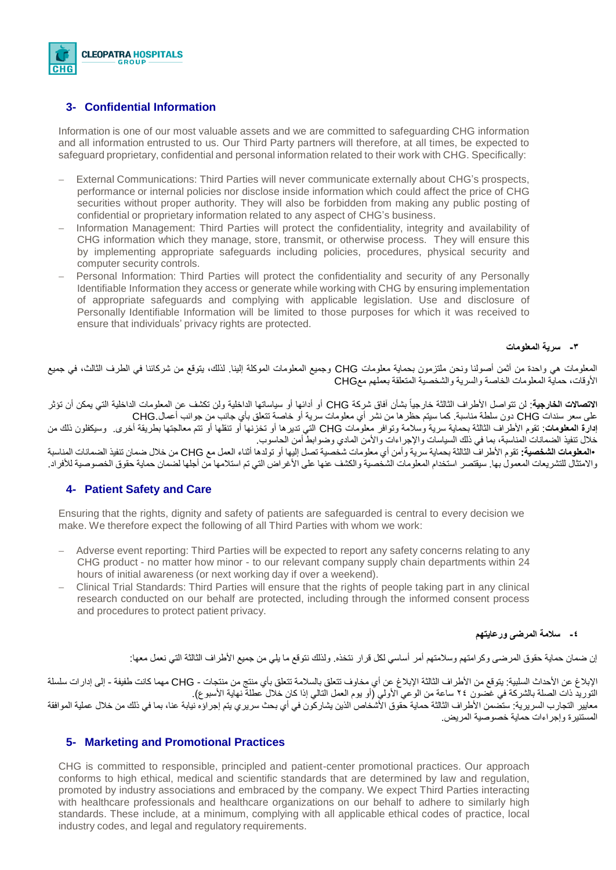

## **3- Confidential Information**

Information is one of our most valuable assets and we are committed to safeguarding CHG information and all information entrusted to us. Our Third Party partners will therefore, at all times, be expected to safeguard proprietary, confidential and personal information related to their work with CHG. Specifically:

- − External Communications: Third Parties will never communicate externally about CHG's prospects, performance or internal policies nor disclose inside information which could affect the price of CHG securities without proper authority. They will also be forbidden from making any public posting of confidential or proprietary information related to any aspect of CHG's business.
- Information Management: Third Parties will protect the confidentiality, integrity and availability of CHG information which they manage, store, transmit, or otherwise process. They will ensure this by implementing appropriate safeguards including policies, procedures, physical security and computer security controls.
- − Personal Information: Third Parties will protect the confidentiality and security of any Personally Identifiable Information they access or generate while working with CHG by ensuring implementation of appropriate safeguards and complying with applicable legislation. Use and disclosure of Personally Identifiable Information will be limited to those purposes for which it was received to ensure that individuals' privacy rights are protected.

#### **-3 سرية المعلومات**

المعلومات هي واحدة من أثمن أصولنا ونحن ملتزمون بحماية معلومات CHG وجميع المعلومات الموكلة إلينا. لذلك، يتوقع من شركائنا في الطرف الثالث، في جميع األوقات، حماية المعلومات الخاصة والسرية والشخصية المتعلقة بعملهم معCHG

ا**لاتصالات الخارجية**: لن تتواصل الأطراف الثالثة خارجياً بشأن آفاق شركة CHG أو أدائها أو سياساتها الداخليف عن المعلومات الداخلية التي يمكن أن تؤثر على سعر سندات CHG دون سلطة مناسبة. كما سيتم حظرها من نشر أي معلومات سرية أو خاصة تتعلق بأي جانب من جوانب أعمال.CHG

**إدارة المعلومات**: تقوم األطراف الثالثة بحماية سرية وسالمة وتوافر معلومات CHG التي تديرها أو تخزنها أو تنقلها أو تتم معالجتها بطريقة أخرى. وسيكفلون ذلك من خالل تنفيذ الضمانات المناسبة، بما في ذلك السياسات واإلجراءات واألمن المادي وضوابط أمن الحاسوب.

 •**المعلومات الشخصية:** تقوم األطراف الثالثة بحماية سرية وأمن أي معلومات شخصية تصل إليها أو تولدها أثناء العمل مع CHG من خالل ضمان تنفيذ الضمانات المناسبة واالمتثال للتشريعات المعمول بها. سيقتصر استخدام المعلومات الشخصية والكشف عنها على األغراض التي تم استالمها من أجلها لضمان حماية حقوق الخصوصية لألفراد.

## **4- Patient Safety and Care**

Ensuring that the rights, dignity and safety of patients are safeguarded is central to every decision we make. We therefore expect the following of all Third Parties with whom we work:

- − Adverse event reporting: Third Parties will be expected to report any safety concerns relating to any CHG product - no matter how minor - to our relevant company supply chain departments within 24 hours of initial awareness (or next working day if over a weekend).
- − Clinical Trial Standards: Third Parties will ensure that the rights of people taking part in any clinical research conducted on our behalf are protected, including through the informed consent process and procedures to protect patient privacy.

#### **-4 سالمة المرضى ورعايتهم**

إن ضمان حماية حقوق المرضى وكرامتهم وسالمتهم أمر أساسي لكل قرار نتخذه. ولذلك نتوقع ما يلي من جميع األطراف الثالثة التي نعمل معها:

اإلبالغ عن األحداث السلبية: يتوقع من األطراف الثالثة اإلبالغ عن أي مخاوف تتعلق بالسالمة تتعلق بأي منتج من منتجات - CHG مهما كانت طفيفة - إلى إدارات سلسلة التوريد ذات الصلة بالشركة في غضون ٢٤ ساعة من الوعي الأولي (أو يوم العمل التالي إذا كان خلال عطلةٌ نهاية الأسبوع). معايير التجارب السريرية: ستصمن الأطراف الثالثة حماية حقوق الأشخاص الذين يشاركون في أي بحث سريري يتم إجراؤه نيابة عنا، بما في ذلك من خلال عملية الموافقة المستنيرة وإجراءات حماية خصوصية المريض.

## **5- Marketing and Promotional Practices**

CHG is committed to responsible, principled and patient-center promotional practices. Our approach conforms to high ethical, medical and scientific standards that are determined by law and regulation, promoted by industry associations and embraced by the company. We expect Third Parties interacting with healthcare professionals and healthcare organizations on our behalf to adhere to similarly high standards. These include, at a minimum, complying with all applicable ethical codes of practice, local industry codes, and legal and regulatory requirements.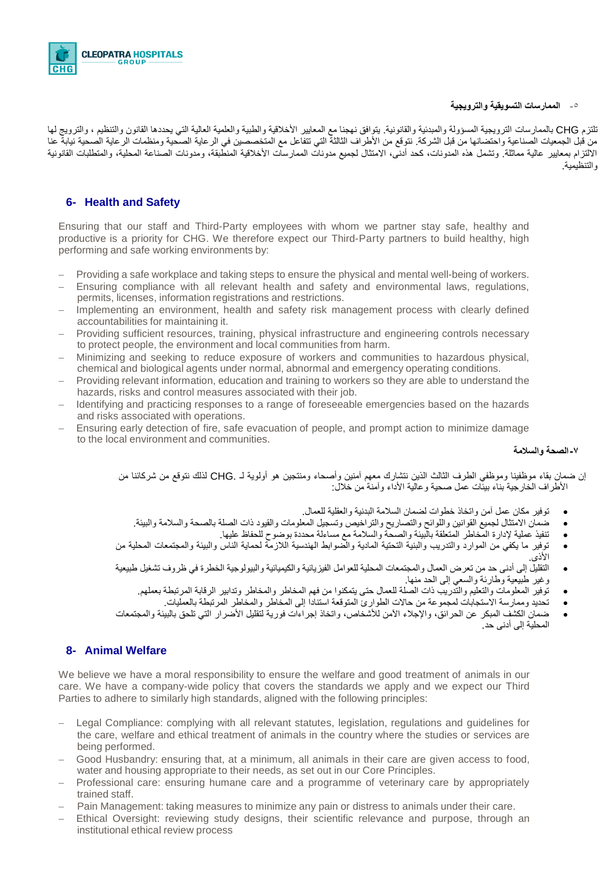#### -5 **الممارسات التسويقية والترويجية**



تلتزم CHG بالممارسات الترويجية المسؤولة والمبدئية والقانونية. يتوافق نهجنا مع المعايير الأخلاقية والطبية والعلمية العالية التي يحددها القانون والتنظيم ، والترويج لها من قبل الجمعيات الصناعية واحتضانها من قبل الشركة. نتوقع من األطراف الثالثة التي تتفاعل مع المتخصصين في الرعاية الصحية ومنظمات الرعاية الصحية نيابة عنا الالتزام بمعايير عالية مماثلة. وتشمل هذه المدونات، كحد أدنى، الامتثال لجميع مدونات الممارسات الأخلاقية المنطبقة، ومدونات الصناعة المحلية، والمتطلبات القانونية والتنظيمية.

## **6- Health and Safety**

Ensuring that our staff and Third-Party employees with whom we partner stay safe, healthy and productive is a priority for CHG. We therefore expect our Third-Party partners to build healthy, high performing and safe working environments by:

- Providing a safe workplace and taking steps to ensure the physical and mental well-being of workers.
- Ensuring compliance with all relevant health and safety and environmental laws, regulations, permits, licenses, information registrations and restrictions.
- − Implementing an environment, health and safety risk management process with clearly defined accountabilities for maintaining it.
- Providing sufficient resources, training, physical infrastructure and engineering controls necessary to protect people, the environment and local communities from harm.
- − Minimizing and seeking to reduce exposure of workers and communities to hazardous physical, chemical and biological agents under normal, abnormal and emergency operating conditions.
- − Providing relevant information, education and training to workers so they are able to understand the hazards, risks and control measures associated with their job.
- − Identifying and practicing responses to a range of foreseeable emergencies based on the hazards and risks associated with operations.
- Ensuring early detection of fire, safe evacuation of people, and prompt action to minimize damage to the local environment and communities.

#### **-7الصحة والسالمة**

إن ضمان بقاء موظفينا وموظفي الطرف الثالث الذين نتشارك معهم آمنين وأصحاء ومنتجين هو أولوية لـ .CHG لذلك نتوقع من شركائنا من الأطراف الخارجية بناء بيئات عمل صحية و عالية الأداء وآمنة من خلال:

- توفير مكان عمل آمن واتخاذ خطوات لضمان السالمة البدنية والعقلية للعمال.
- ضمان االمتثال لجميع القوانين واللوائح والتصاريح والتراخيص وتسجيل المعلومات والقيود ذات الصلة بالصحة والسالمة والبيئة.
	- تنفيذ عملية إلدارة المخاطر المتعلقة بالبيئة والصحة والسالمة مع مساءلة محددة بوضوح للحفاظ عليها.
- توفير ما يكفي من الموارد والتدريب والبنية التحتية المادية والضوابط الهندسية الالزمة لحماية الناس والبيئة والمجتمعات المحلية من الأذى.
- التقليل إلى أدنى حد من تعرض العمال والمجتمعات المحلية للعوامل الفيزيائية والكيميائية والبيولوجية الخطرة في ظروف تشغيل طبيعية وغير طبيعية وطارئة والسعي إلى الحد منها.
	- توفير المعلومات والتعليم والتدريب ذات الصلة للعمال حتى يتمكنوا من فهم المخاطر والمخاطر وتدابير الرقابة المرتبطة بعملهم.
		- تحديد وممارسة االستجابات لمجموعة من حاالت الطوارئ المتوقعة استنادا إلى المخاطر والمخاطر المرتبطة بالعمليات.
- ضمان الكشف المبكر عن الحرائق، واإلجالء اآلمن لألشخاص، واتخاذ إجراءات فورية لتقليل األضرار التي تلحق بالبيئة والمجتمعات المحلية إلى أدنى حد.

## **8- Animal Welfare**

We believe we have a moral responsibility to ensure the welfare and good treatment of animals in our care. We have a company-wide policy that covers the standards we apply and we expect our Third Parties to adhere to similarly high standards, aligned with the following principles:

- Legal Compliance: complying with all relevant statutes, legislation, regulations and guidelines for the care, welfare and ethical treatment of animals in the country where the studies or services are being performed.
- Good Husbandry: ensuring that, at a minimum, all animals in their care are given access to food, water and housing appropriate to their needs, as set out in our Core Principles.
- Professional care: ensuring humane care and a programme of veterinary care by appropriately trained staff.
- Pain Management: taking measures to minimize any pain or distress to animals under their care.
- Ethical Oversight: reviewing study designs, their scientific relevance and purpose, through an institutional ethical review process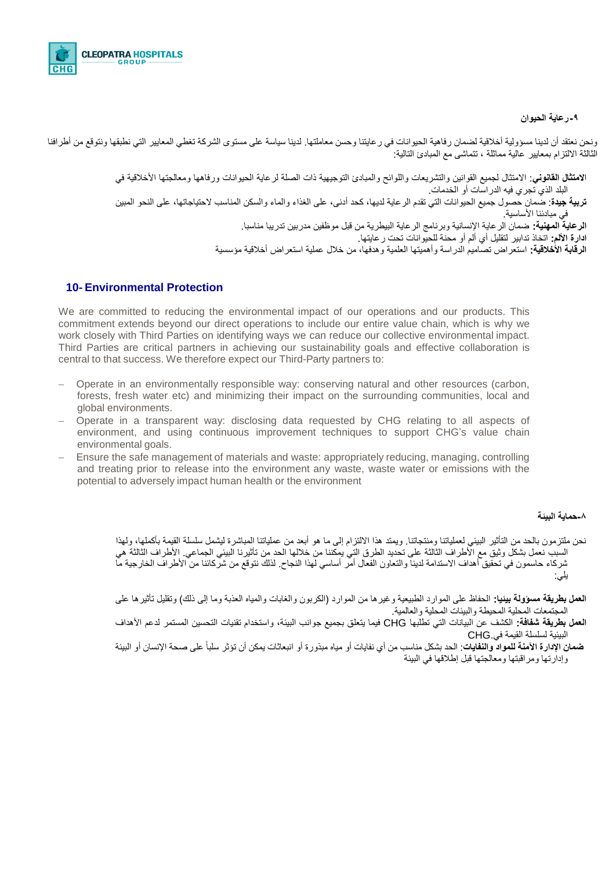

#### **-9رعاية الحيوان**

ونحن نعتقد أن لدينا مسؤولية أخلاقية لضمان رفاهية الحيوانات في رعايتنا وحسن معاملتها. لدينا سياسة على مستوى الشركة تغطي المعايير التي نطبقها ونتوقع من أطرافنا الثالثة الالتزام بمعايير عالية مماثلة ، تتماشى مع المبادئ التالية:

> ا**المتثال القانوني**: االمتثال لجميع القوانين والتشريعات واللوائح والمبادئ التوجيهية ذات الصلة لرعاية الحيوانات ورفاهها ومعالجتها األخالقية في البلد الذي تجري فيه الدراسات أو الخدمات. **تربية جيدة**: ضمان حصول جميع الحيوانات التي تقدم الرعاية لديها، كحد أدنى، على الغذاء والماء والسكن المناسب الحتياجاتها، على النحو المبين في مبادئنا الأساسية. **الرعاية المهنية:** ضمان الرعاية اإلنسانية وبرنامج الرعاية البيطرية من قبل موظفين مدربين تدريبا مناسبا. **ادارة األلم:** اتخاذ تدابير لتقليل أي ألم أو محنة للحيوانات تحت رعايتها. **الرقابة األخالقية:** استعراض تصاميم الدراسة وأهميتها العلمية وهدفها، من خالل عملية استعراض أخالقية مؤسسية

#### **10- Environmental Protection**

We are committed to reducing the environmental impact of our operations and our products. This commitment extends beyond our direct operations to include our entire value chain, which is why we work closely with Third Parties on identifying ways we can reduce our collective environmental impact. Third Parties are critical partners in achieving our sustainability goals and effective collaboration is central to that success. We therefore expect our Third-Party partners to:

- − Operate in an environmentally responsible way: conserving natural and other resources (carbon, forests, fresh water etc) and minimizing their impact on the surrounding communities, local and global environments.
- − Operate in a transparent way: disclosing data requested by CHG relating to all aspects of environment, and using continuous improvement techniques to support CHG's value chain environmental goals.
- − Ensure the safe management of materials and waste: appropriately reducing, managing, controlling and treating prior to release into the environment any waste, waste water or emissions with the potential to adversely impact human health or the environment

#### **-8حماية البيئة**

- نحن ملتزمون بالحد من التأثير البيئي لعملياتنا ومنتجاتنا. ويمتد هذا الالتزام إلى ما هو أبعد من عملياتنا المباشرة ليشمل سلسلة القيمة بأكملها، ولهذا السبب نعمل بشكل وثيق مع األطراف الثالثة على تحديد الطرق التي يمكننا من خاللها الحد من تأثيرنا البيئي الجماعي. األطراف الثالثة هي شركاء حاسمون في تحقيق أهداف الاستدامة لدينا والتعاون الفعال أمر أساسي لهذا النجاح. لذلك نتوقع من شركائنا من الأطراف الخارجية ما يلي:
- **العمل بطريقة مسؤولة بيئيا:** الحفاظ على الموارد الطبيعية وغيرها من الموارد )الكربون والغابات والمياه العذبة وما إلى ذلك( وتقليل تأثيرها على المجتمعات المحلية المحيطة والبيئات المحلية والعالمية.
- **العمل بطريقة شفافة:** الكشف عن البيانات التي تطلبها CHG فيما يتعلق بجميع جوانب البيئة، واستخدام تقنيات التحسين المستمر لدعم األهداف البيئية لسلسلة القيمة في.CHG
- **ضمان اإلدارة اآلمنة للمواد والنفايات**: الحد بشكل مناسب من أي نفايات أو مياه مبذورة أو انبعاثات يمكن أن تؤثر سلباً على صحة اإلنسان أو البيئة وإدارتها ومراقبتها ومعالجتها قبل إطلاقها في البيئة